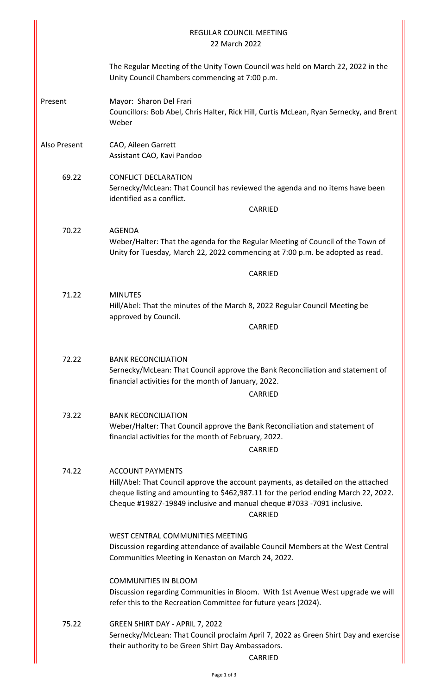|              | <b>REGULAR COUNCIL MEETING</b><br>22 March 2022                                                                                                                                                                                                                                         |
|--------------|-----------------------------------------------------------------------------------------------------------------------------------------------------------------------------------------------------------------------------------------------------------------------------------------|
|              | The Regular Meeting of the Unity Town Council was held on March 22, 2022 in the<br>Unity Council Chambers commencing at 7:00 p.m.                                                                                                                                                       |
| Present      | Mayor: Sharon Del Frari<br>Councillors: Bob Abel, Chris Halter, Rick Hill, Curtis McLean, Ryan Sernecky, and Brent<br>Weber                                                                                                                                                             |
| Also Present | CAO, Aileen Garrett<br>Assistant CAO, Kavi Pandoo                                                                                                                                                                                                                                       |
| 69.22        | <b>CONFLICT DECLARATION</b><br>Sernecky/McLean: That Council has reviewed the agenda and no items have been<br>identified as a conflict.<br>CARRIED                                                                                                                                     |
| 70.22        | <b>AGENDA</b><br>Weber/Halter: That the agenda for the Regular Meeting of Council of the Town of<br>Unity for Tuesday, March 22, 2022 commencing at 7:00 p.m. be adopted as read.                                                                                                       |
|              | <b>CARRIED</b>                                                                                                                                                                                                                                                                          |
| 71.22        | <b>MINUTES</b><br>Hill/Abel: That the minutes of the March 8, 2022 Regular Council Meeting be<br>approved by Council.<br><b>CARRIED</b>                                                                                                                                                 |
| 72.22        | <b>BANK RECONCILIATION</b><br>Sernecky/McLean: That Council approve the Bank Reconciliation and statement of<br>financial activities for the month of January, 2022.<br>CARRIED                                                                                                         |
| 73.22        | <b>BANK RECONCILIATION</b><br>Weber/Halter: That Council approve the Bank Reconciliation and statement of<br>financial activities for the month of February, 2022.<br>CARRIED                                                                                                           |
| 74.22        | <b>ACCOUNT PAYMENTS</b><br>Hill/Abel: That Council approve the account payments, as detailed on the attached<br>cheque listing and amounting to \$462,987.11 for the period ending March 22, 2022.<br>Cheque #19827-19849 inclusive and manual cheque #7033 -7091 inclusive.<br>CARRIED |
|              | WEST CENTRAL COMMUNITIES MEETING<br>Discussion regarding attendance of available Council Members at the West Central<br>Communities Meeting in Kenaston on March 24, 2022.                                                                                                              |
|              | <b>COMMUNITIES IN BLOOM</b><br>Discussion regarding Communities in Bloom. With 1st Avenue West upgrade we will<br>refer this to the Recreation Committee for future years (2024).                                                                                                       |
| 75.22        | GREEN SHIRT DAY - APRIL 7, 2022<br>Sernecky/McLean: That Council proclaim April 7, 2022 as Green Shirt Day and exercise<br>their authority to be Green Shirt Day Ambassadors.<br>CARRIED                                                                                                |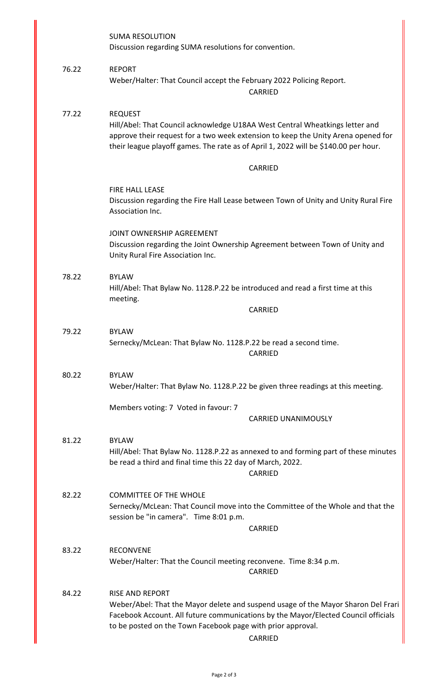|       | <b>SUMA RESOLUTION</b><br>Discussion regarding SUMA resolutions for convention.                                                                                                                                                                                             |
|-------|-----------------------------------------------------------------------------------------------------------------------------------------------------------------------------------------------------------------------------------------------------------------------------|
| 76.22 | <b>REPORT</b><br>Weber/Halter: That Council accept the February 2022 Policing Report.<br><b>CARRIED</b>                                                                                                                                                                     |
| 77.22 | <b>REQUEST</b><br>Hill/Abel: That Council acknowledge U18AA West Central Wheatkings letter and<br>approve their request for a two week extension to keep the Unity Arena opened for<br>their league playoff games. The rate as of April 1, 2022 will be \$140.00 per hour.  |
|       | <b>CARRIED</b>                                                                                                                                                                                                                                                              |
|       | FIRE HALL LEASE<br>Discussion regarding the Fire Hall Lease between Town of Unity and Unity Rural Fire<br>Association Inc.                                                                                                                                                  |
|       | JOINT OWNERSHIP AGREEMENT<br>Discussion regarding the Joint Ownership Agreement between Town of Unity and<br>Unity Rural Fire Association Inc.                                                                                                                              |
| 78.22 | <b>BYLAW</b><br>Hill/Abel: That Bylaw No. 1128.P.22 be introduced and read a first time at this<br>meeting.                                                                                                                                                                 |
|       | <b>CARRIED</b>                                                                                                                                                                                                                                                              |
| 79.22 | <b>BYLAW</b><br>Sernecky/McLean: That Bylaw No. 1128.P.22 be read a second time.<br><b>CARRIED</b>                                                                                                                                                                          |
| 80.22 | <b>BYLAW</b><br>Weber/Halter: That Bylaw No. 1128.P.22 be given three readings at this meeting.                                                                                                                                                                             |
|       | Members voting: 7 Voted in favour: 7<br><b>CARRIED UNANIMOUSLY</b>                                                                                                                                                                                                          |
| 81.22 | <b>BYLAW</b><br>Hill/Abel: That Bylaw No. 1128.P.22 as annexed to and forming part of these minutes<br>be read a third and final time this 22 day of March, 2022.<br><b>CARRIED</b>                                                                                         |
| 82.22 | <b>COMMITTEE OF THE WHOLE</b><br>Sernecky/McLean: That Council move into the Committee of the Whole and that the<br>session be "in camera". Time 8:01 p.m.                                                                                                                  |
|       | <b>CARRIED</b>                                                                                                                                                                                                                                                              |
| 83.22 | <b>RECONVENE</b><br>Weber/Halter: That the Council meeting reconvene. Time 8:34 p.m.<br>CARRIED                                                                                                                                                                             |
| 84.22 | <b>RISE AND REPORT</b><br>Weber/Abel: That the Mayor delete and suspend usage of the Mayor Sharon Del Frari<br>Facebook Account. All future communications by the Mayor/Elected Council officials<br>to be posted on the Town Facebook page with prior approval.<br>CARRIED |